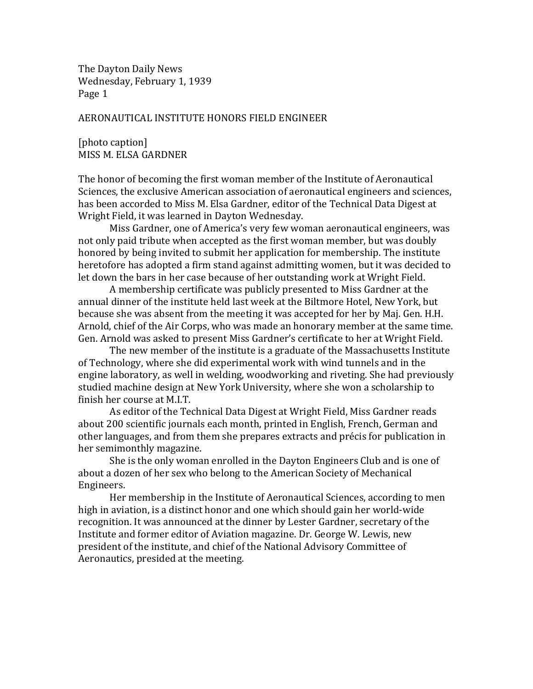The Dayton Daily News Wednesday, February 1, 1939 Page 1

## AERONAUTICAL INSTITUTE HONORS FIELD ENGINEER

[photo caption] MISS M. ELSA GARDNER

The honor of becoming the first woman member of the Institute of Aeronautical Sciences, the exclusive American association of aeronautical engineers and sciences, has been accorded to Miss M. Elsa Gardner, editor of the Technical Data Digest at Wright Field, it was learned in Dayton Wednesday.

Miss Gardner, one of America's very few woman aeronautical engineers, was not only paid tribute when accepted as the first woman member, but was doubly honored by being invited to submit her application for membership. The institute heretofore has adopted a firm stand against admitting women, but it was decided to let down the bars in her case because of her outstanding work at Wright Field.

A membership certificate was publicly presented to Miss Gardner at the annual dinner of the institute held last week at the Biltmore Hotel, New York, but because she was absent from the meeting it was accepted for her by Maj. Gen. H.H. Arnold, chief of the Air Corps, who was made an honorary member at the same time. Gen. Arnold was asked to present Miss Gardner's certificate to her at Wright Field.

The new member of the institute is a graduate of the Massachusetts Institute of Technology, where she did experimental work with wind tunnels and in the engine laboratory, as well in welding, woodworking and riveting. She had previously studied machine design at New York University, where she won a scholarship to finish her course at M.I.T.

As editor of the Technical Data Digest at Wright Field, Miss Gardner reads about 200 scientific journals each month, printed in English, French, German and other languages, and from them she prepares extracts and précis for publication in her semimonthly magazine.

She is the only woman enrolled in the Dayton Engineers Club and is one of about a dozen of her sex who belong to the American Society of Mechanical Engineers.

Her membership in the Institute of Aeronautical Sciences, according to men high in aviation, is a distinct honor and one which should gain her world-wide recognition. It was announced at the dinner by Lester Gardner, secretary of the Institute and former editor of Aviation magazine. Dr. George W. Lewis, new president of the institute, and chief of the National Advisory Committee of Aeronautics, presided at the meeting.